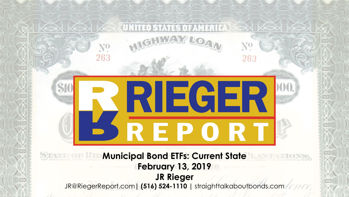# $N^{\mathbf{0}}$ 263 263 **RIEGER REPORT STRAND OF**

**Municipal Bond ETFs: Current State February 13, 2019 JR Rieger** JR@RiegerReport.com**| (516) 524-1110 |** straighttalkaboutbonds.com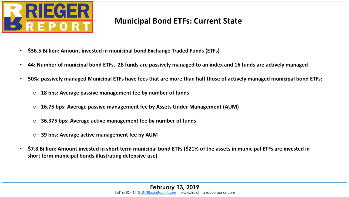

#### **Municipal Bond ETFs: Current State**

- **\$36.5 Billion: Amount invested in municipal bond Exchange Traded Funds (ETFs)**
- **44: Number of municipal bond ETFs. 28 funds are passively managed to an index and 16 funds are actively managed**
- **50%: passively managed Municipal ETFs have fees that are more than half those of actively managed municipal bond ETFs:**
	- o **18 bps: Average passive management fee by number of funds**
	- o **16.75 bps: Average passive management fee by Assets Under Management (AUM)**
	- o **36.375 bps: Average active management fee by number of funds**
	- o **39 bps: Average active management fee by AUM**
- **\$7.8 Billion: Amount invested in short term municipal bond ETFs (\$21% of the assets in municipal ETFs are invested in short term municipal bonds illustrating defensive use)**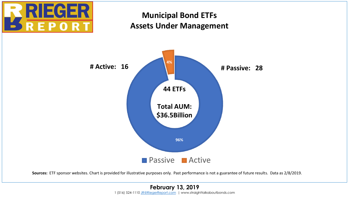

#### **Municipal Bond ETFs Assets Under Management**

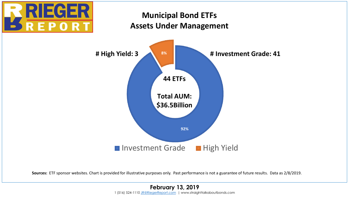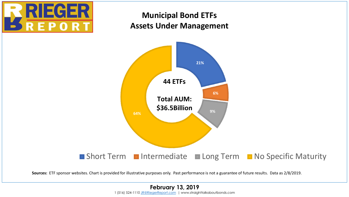## ECI **REPOR**

#### **Municipal Bond ETFs Assets Under Management**



**Sources:** ETF sponsor websites. Chart is provided for illustrative purposes only. Past performance is not a guarantee of future results. Data as 2/8/2019.

#### **February 13, 2019** 1 (516) 524-1110 [JR@RiegerReport.com](mailto:jrrieger@yahoo.com) | www.straighttalkaboutbonds.com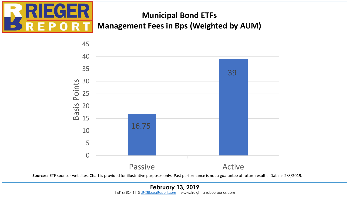

### **Municipal Bond ETFs Management Fees in Bps (Weighted by AUM)**

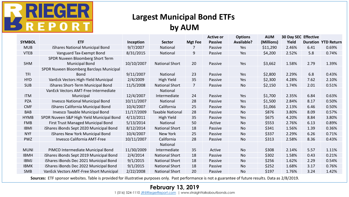

#### **Largest Municipal Bond ETFs by AUM**

|               |                                           |            |                         |                | <b>Active or</b> | <b>Options</b>    | <b>AUM</b> | <b>30 Day SEC Effective</b> |      |                            |
|---------------|-------------------------------------------|------------|-------------------------|----------------|------------------|-------------------|------------|-----------------------------|------|----------------------------|
| <b>SYMBOL</b> | <b>ETF</b>                                | Inception  | <b>Sector</b>           | <b>Mgt Fee</b> | <b>Passive</b>   | <b>Available?</b> | (Millions) | Yield                       |      | <b>Duration YTD Return</b> |
| <b>MUB</b>    | iShares National Municipal Bond           | 9/7/2007   | National                | 7              | Passive          | Yes               | \$11,290   | 2.46%                       | 6.41 | 0.69%                      |
| <b>VTEB</b>   | Vanguard Tax-Exempt Bond                  | 8/31/2015  | National                | 9              | Passive          | Yes               | \$4,200    | 2.52%                       | 5.8  | 0.74%                      |
|               | SPDR Nuveen Bloomberg Short Term          |            |                         |                |                  |                   |            |                             |      |                            |
| SHM           | <b>Municipal Bond</b>                     | 10/10/2007 | <b>National Short</b>   | 20             | Passive          | Yes               | \$3,662    | 1.58%                       | 2.79 | 1.39%                      |
|               | SPDR Nuveen Bloomberg Barclays Municipal  |            |                         |                |                  |                   |            |                             |      |                            |
| <b>TFI</b>    | <b>Bond</b>                               | 9/11/2007  | National                | 23             | Passive          | Yes               | \$2,800    | 2.29%                       | 6.8  | 0.43%                      |
| <b>HYD</b>    | VanEck Vectors High-Yield Municipal       | 2/4/2009   | High Yield              | 35             | Passive          | Yes               | \$2,300    | 4.28%                       | 7.62 | 2.10%                      |
| <b>SUB</b>    | iShares Short-Term Municipal Bond         | 11/5/2008  | <b>National Short</b>   | $\overline{7}$ | Passive          | <b>No</b>         | \$2,150    | 1.74%                       | 2.01 | 0.51%                      |
|               | VanEck Vectors AMT-Free Intermediate      |            | National                |                |                  |                   |            |                             |      |                            |
| <b>ITM</b>    | Municipal                                 | 12/4/2007  | Intermediate            | 24             | Passive          | Yes               | \$1,700    | 2.35%                       | 6.84 | 0.63%                      |
| <b>PZA</b>    | Invesco National Municipal Bond           | 10/11/2007 | National                | 28             | Passive          | Yes               | \$1,500    | 2.84%                       | 8.17 | 0.50%                      |
| <b>CMF</b>    | iShares California Municipal Bond         | 10/4/2007  | California              | 25             | Passive          | No                | \$1,066    | 2.13%                       | 6.46 | 0.50%                      |
| <b>BAB</b>    | Invesco Taxable Municipal Bond            | 11/17/2009 | <b>Taxable National</b> | 28             | Passive          | No                | \$876      | 3.80%                       | 8.09 | 0.57%                      |
| <b>HYMB</b>   | SPDR Nuveen S&P High Yield Municipal Bond | 4/13/2011  | High Yield              | 35             | Passive          | Yes               | \$675      | 4.20%                       | 8.84 | 3.80%                      |
| <b>FMB</b>    | First Trust Managed Municipal Bond        | 5/13/2014  | National                | 50             | Active           | <b>No</b>         | \$553      | 2.76%                       | 6.13 | 0.89%                      |
| <b>IBMI</b>   | iShares iBonds Sept 2020 Municipal Bond   | 8/12/2014  | <b>National Short</b>   | 18             | Passive          | No                | \$341      | 1.56%                       | 1.39 | 0.36%                      |
| <b>NYF</b>    | iShares New York Municipal Bond           | 10/4/2007  | New York                | 25             | Passive          | No                | \$337      | 2.29%                       | 6.26 | 0.71%                      |
| <b>PWZ</b>    | Invesco California AMT-Free               | 10/11/2007 | California              | 28             | Passive          | <b>No</b>         | \$313      | 2.58%                       | 8.36 | 0.43%                      |
|               |                                           |            | National                |                |                  |                   |            |                             |      |                            |
| <b>MUNI</b>   | PIMCO Intermediate Municipal Bond         | 11/30/2009 | Intermediate            | 35             | Active           | No                | \$308      | 2.14%                       | 5.57 | 1.11%                      |
| <b>IBMH</b>   | iShares iBonds Sept 2019 Municipal Bond   | 2/4/2014   | <b>National Short</b>   | 18             | Passive          | No                | \$302      | 1.58%                       | 0.43 | 0.21%                      |
| <b>IBMJ</b>   | iShares iBonds Dec 2021 Municipal Bond    | 9/1/2015   | <b>National Short</b>   | 18             | Passive          | No                | \$256      | 1.62%                       | 2.29 | 0.54%                      |
| <b>IBMK</b>   | iShares iBonds Dec 2022 Municipal Bond    | 9/1/2015   | <b>National Short</b>   | 18             | Passive          | No                | \$252      | 1.68%                       | 3.17 | 0.76%                      |
| <b>SMB</b>    | VanEck Vectors AMT-Free Short Municipal   | 2/22/2008  | <b>National Short</b>   | 20             | Passive          | <b>No</b>         | \$197      | 1.76%                       | 3.24 | 1.42%                      |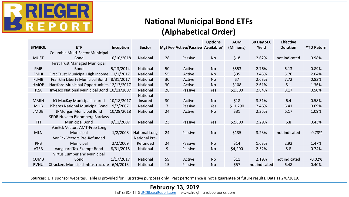

#### **National Municipal Bond ETFs (Alphabetical Order)**

|               |                                             |            |                      |    |                                   | <b>Options</b> | <b>AUM</b> | 30 Day SEC    | <b>Effective</b> |                   |
|---------------|---------------------------------------------|------------|----------------------|----|-----------------------------------|----------------|------------|---------------|------------------|-------------------|
| <b>SYMBOL</b> | <b>ETF</b>                                  | Inception  | <b>Sector</b>        |    | Mgt Fee Active/Passive Available? |                | (Millions) | Yield         | <b>Duration</b>  | <b>YTD Return</b> |
|               | Columbia Multi-Sector Municipal             |            |                      |    |                                   |                |            |               |                  |                   |
| <b>MUST</b>   | <b>Bond</b>                                 | 10/10/2018 | National             | 28 | Passive                           | No             | \$18       | 2.62%         | not indicated    | 0.98%             |
|               | First Trust Managed Municipal               |            |                      |    |                                   |                |            |               |                  |                   |
| <b>FMB</b>    | <b>Bond</b>                                 | 5/13/2014  | National             | 50 | Active                            | No             | \$553      | 2.76%         | 6.13             | 0.89%             |
| <b>FMHI</b>   | First Trust Municipal High Income           | 11/1/2017  | National             | 55 | Active                            | No             | \$35       | 3.43%         | 5.76             | 2.04%             |
| <b>FLMB</b>   | Franklin Liberty Municipal Bond             | 8/31/2017  | National             | 30 | Active                            | No             | \$7        | 2.63%         | 7.72             | 0.83%             |
| <b>HMOP</b>   | Hartford Municipal Opportunities 12/13/2017 |            | National             | 30 | Active                            | No             | \$108      | 2.61%         | 5.1              | 1.36%             |
| <b>PZA</b>    | Invesco National Municipal Bond 10/11/2007  |            | National             | 28 | Passive                           | Yes            | \$1,500    | 2.84%         | 8.17             | 0.50%             |
|               |                                             |            | National             |    |                                   |                |            |               |                  |                   |
| <b>MMIN</b>   | IQ MacKay Municipal Insured                 | 10/18/2017 | Insured              | 30 | Active                            | <b>No</b>      | \$18       | 3.31%         | 6.4              | 0.58%             |
| <b>MUB</b>    | iShares National Municipal Bond             | 9/7/2007   | National             | 7  | Passive                           | Yes            | \$11,290   | 2.46%         | 6.41             | 0.69%             |
| <b>JMUB</b>   | JPMorgan Municipal Bond                     | 10/29/2018 | National             | 24 | Active                            | <b>No</b>      | \$31       | 2.35%         | 6.17             | 1.09%             |
|               | <b>SPDR Nuveen Bloomberg Barclays</b>       |            |                      |    |                                   |                |            |               |                  |                   |
| <b>TFI</b>    | <b>Municipal Bond</b>                       | 9/11/2007  | National             | 23 | Passive                           | Yes            | \$2,800    | 2.29%         | 6.8              | 0.43%             |
|               | VanEck Vectors AMT-Free Long                |            |                      |    |                                   |                |            |               |                  |                   |
| <b>MLN</b>    | Municipal                                   | 1/2/2008   | <b>National Long</b> | 24 | Passive                           | No             | \$135      | 3.23%         | not indicated    | $-0.73%$          |
|               | VanEck Vectors Pre-Refunded                 |            | <b>National Pre-</b> |    |                                   |                |            |               |                  |                   |
| PRB           | Municipal                                   | 2/2/2009   | Refunded             | 24 | Passive                           | No             | \$14       | 1.63%         | 2.92             | 1.47%             |
| <b>VTEB</b>   | Vanguard Tax-Exempt Bond                    | 8/31/2015  | National             | 9  | Passive                           | No             | \$4,200    | 2.52%         | 5.8              | 0.74%             |
|               | <b>Virtus Cumberland Municipal</b>          |            |                      |    |                                   |                |            |               |                  |                   |
| <b>CUMB</b>   | <b>Bond</b>                                 | 1/17/2017  | National             | 59 | Active                            | <b>No</b>      | \$11       | 2.19%         | not indicated    | $-0.02%$          |
| <b>RVNU</b>   | Xtrackers Municipal Infrastructure          | 6/4/2013   | National             | 15 | Passive                           | No             | \$57       | not indicated | 6.48             | 0.40%             |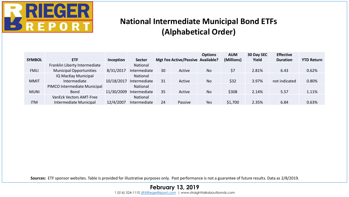

#### **National Intermediate Municipal Bond ETFs (Alphabetical Order)**

|               |                                |            |                 |    |                                   | <b>Options</b> | <b>AUM</b> | 30 Day SEC | <b>Effective</b> |                   |
|---------------|--------------------------------|------------|-----------------|----|-----------------------------------|----------------|------------|------------|------------------|-------------------|
| <b>SYMBOL</b> | <b>ETF</b>                     | Inception  | <b>Sector</b>   |    | Mgt Fee Active/Passive Available? |                | (Millions) | Yield      | <b>Duration</b>  | <b>YTD Return</b> |
|               | Franklin Liberty Intermediate  |            | National        |    |                                   |                |            |            |                  |                   |
| <b>FMLI</b>   | <b>Municipal Opportunities</b> | 8/31/2017  | Intermediate    | 30 | Active                            | <b>No</b>      | \$7        | 2.81%      | 6.43             | 0.62%             |
|               | IQ MacKay Municipal            |            | National        |    |                                   |                |            |            |                  |                   |
| <b>MMIT</b>   | Intermediate                   | 10/18/2017 | Intermediate    | 31 | Active                            | <b>No</b>      | \$32       | 3.97%      | not indicated    | 0.80%             |
|               | PIMCO Intermediate Municipal   |            | <b>National</b> |    |                                   |                |            |            |                  |                   |
| <b>MUNI</b>   | <b>Bond</b>                    | 11/30/2009 | Intermediate    | 35 | Active                            | <b>No</b>      | \$308      | 2.14%      | 5.57             | 1.11%             |
|               | <b>VanEck Vectors AMT-Free</b> |            | National        |    |                                   |                |            |            |                  |                   |
| <b>ITM</b>    | Intermediate Municipal         | 12/4/2007  | Intermediate    | 24 | Passive                           | Yes            | \$1,700    | 2.35%      | 6.84             | 0.63%             |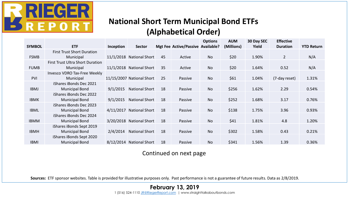

#### **National Short Term Municipal Bond ETFs (Alphabetical Order)**

| <b>SYMBOL</b> | <b>ETF</b>                              | Inception | <b>Sector</b>             |    | Mgt Fee Active/Passive Available? | <b>Options</b> | <b>AUM</b><br>(Millions) | 30 Day SEC<br>Yield | <b>Effective</b><br><b>Duration</b> | <b>YTD Return</b> |
|---------------|-----------------------------------------|-----------|---------------------------|----|-----------------------------------|----------------|--------------------------|---------------------|-------------------------------------|-------------------|
|               | <b>First Trust Short Duration</b>       |           |                           |    |                                   |                |                          |                     |                                     |                   |
| <b>FSMB</b>   | Municipal                               |           | 11/1/2018 National Short  | 45 | Active                            | No             | \$20                     | 1.90%               | $\overline{2}$                      | N/A               |
|               | <b>First Trust Ultra Short Duration</b> |           |                           |    |                                   |                |                          |                     |                                     |                   |
| <b>FUMB</b>   | Municipal                               |           | 11/1/2018 National Short  | 35 | Active                            | <b>No</b>      | \$20                     | 1.64%               | 0.52                                | N/A               |
|               | Invesco VDRO Tax-Free Weekly            |           |                           |    |                                   |                |                          |                     |                                     |                   |
| <b>PVI</b>    | Municipal                               |           | 11/15/2007 National Short | 25 | Passive                           | No             | \$61                     | 1.04%               | (7-day reset)                       | 1.31%             |
|               | iShares iBonds Dec 2021                 |           |                           |    |                                   |                |                          |                     |                                     |                   |
| <b>IBMJ</b>   | <b>Municipal Bond</b>                   | 9/1/2015  | <b>National Short</b>     | 18 | Passive                           | <b>No</b>      | \$256                    | 1.62%               | 2.29                                | 0.54%             |
|               | iShares iBonds Dec 2022                 |           |                           |    |                                   |                |                          |                     |                                     |                   |
| <b>IBMK</b>   | <b>Municipal Bond</b>                   | 9/1/2015  | <b>National Short</b>     | 18 | Passive                           | <b>No</b>      | \$252                    | 1.68%               | 3.17                                | 0.76%             |
|               | iShares iBonds Dec 2023                 |           |                           |    |                                   |                |                          |                     |                                     |                   |
| <b>IBML</b>   | <b>Municipal Bond</b>                   | 4/11/2017 | <b>National Short</b>     | 18 | Passive                           | <b>No</b>      | \$138                    | 1.75%               | 3.96                                | 0.93%             |
|               | iShares iBonds Dec 2024                 |           |                           |    |                                   |                |                          |                     |                                     |                   |
| <b>IBMM</b>   | <b>Municipal Bond</b>                   |           | 3/20/2018 National Short  | 18 | Passive                           | <b>No</b>      | \$41                     | 1.81%               | 4.8                                 | 1.20%             |
|               | iShares iBonds Sept 2019                |           |                           |    |                                   |                |                          |                     |                                     |                   |
| <b>IBMH</b>   | <b>Municipal Bond</b>                   | 2/4/2014  | <b>National Short</b>     | 18 | Passive                           | <b>No</b>      | \$302                    | 1.58%               | 0.43                                | 0.21%             |
|               | iShares iBonds Sept 2020                |           |                           |    |                                   |                |                          |                     |                                     |                   |
| <b>IBMI</b>   | <b>Municipal Bond</b>                   |           | 8/12/2014 National Short  | 18 | Passive                           | <b>No</b>      | \$341                    | 1.56%               | 1.39                                | 0.36%             |

Continued on next page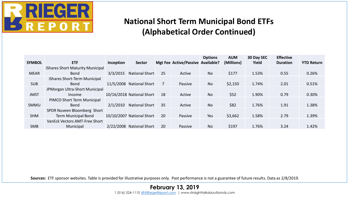

#### **National Short Term Municipal Bond ETFs (Alphabetical Order Continued)**

|               |                                  |           |                           |    |                                   | <b>Options</b> | <b>AUM</b> | 30 Day SEC | <b>Effective</b> |                   |
|---------------|----------------------------------|-----------|---------------------------|----|-----------------------------------|----------------|------------|------------|------------------|-------------------|
| <b>SYMBOL</b> | <b>ETF</b>                       | Inception | <b>Sector</b>             |    | Mgt Fee Active/Passive Available? |                | (Millions) | Yield      | <b>Duration</b>  | <b>YTD Return</b> |
|               | iShares Short Maturity Municipal |           |                           |    |                                   |                |            |            |                  |                   |
| <b>MEAR</b>   | <b>Bond</b>                      | 3/3/2015  | <b>National Short</b>     | 25 | Active                            | <b>No</b>      | \$177      | 1.53%      | 0.55             | 0.26%             |
|               | iShares Short-Term Municipal     |           |                           |    |                                   |                |            |            |                  |                   |
| <b>SUB</b>    | <b>Bond</b>                      |           | 11/5/2008 National Short  |    | Passive                           | No             | \$2,150    | 1.74%      | 2.01             | 0.51%             |
|               | JPMorgan Ultra-Short Municipal   |           |                           |    |                                   |                |            |            |                  |                   |
| <b>JMST</b>   | Income                           |           | 10/16/2018 National Short | 18 | Active                            | <b>No</b>      | \$52       | 1.90%      | 0.79             | 0.30%             |
|               | PIMCO Short Term Municipal       |           |                           |    |                                   |                |            |            |                  |                   |
| <b>SMMU</b>   | <b>Bond</b>                      | 2/1/2010  | <b>National Short</b>     | 35 | Active                            | N <sub>o</sub> | \$82       | 1.76%      | 1.91             | 1.38%             |
|               | SPDR Nuveen Bloomberg Short      |           |                           |    |                                   |                |            |            |                  |                   |
| <b>SHM</b>    | <b>Term Municipal Bond</b>       |           | 10/10/2007 National Short | 20 | Passive                           | Yes            | \$3,662    | 1.58%      | 2.79             | 1.39%             |
|               | VanEck Vectors AMT-Free Short    |           |                           |    |                                   |                |            |            |                  |                   |
| <b>SMB</b>    | Municipal                        |           | 2/22/2008 National Short  | 20 | Passive                           | No             | \$197      | 1.76%      | 3.24             | 1.42%             |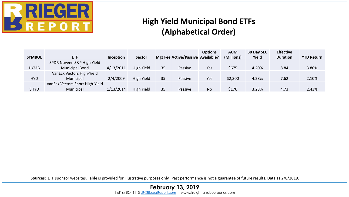

#### **High Yield Municipal Bond ETFs (Alphabetical Order)**

|               |                                 |           |               |    |                                   | <b>Options</b> | <b>AUM</b> | 30 Day SEC | <b>Effective</b> |                   |
|---------------|---------------------------------|-----------|---------------|----|-----------------------------------|----------------|------------|------------|------------------|-------------------|
| <b>SYMBOL</b> | <b>ETF</b>                      | Inception | <b>Sector</b> |    | Mgt Fee Active/Passive Available? |                | (Millions) | Yield      | <b>Duration</b>  | <b>YTD Return</b> |
|               | SPDR Nuveen S&P High Yield      |           |               |    |                                   |                |            |            |                  |                   |
| <b>HYMB</b>   | <b>Municipal Bond</b>           | 4/13/2011 | High Yield    | 35 | Passive                           | Yes            | \$675      | 4.20%      | 8.84             | 3.80%             |
|               | VanEck Vectors High-Yield       |           |               |    |                                   |                |            |            |                  |                   |
| <b>HYD</b>    | Municipal                       | 2/4/2009  | High Yield    | 35 | Passive                           | Yes            | \$2,300    | 4.28%      | 7.62             | 2.10%             |
|               | VanEck Vectors Short High-Yield |           |               |    |                                   |                |            |            |                  |                   |
| <b>SHYD</b>   | Municipal                       | 1/13/2014 | High Yield    | 35 | Passive                           | No             | \$176      | 3.28%      | 4.73             | 2.43%             |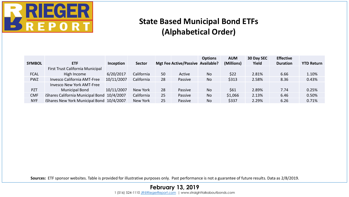

#### **State Based Municipal Bond ETFs (Alphabetical Order)**

|               |                                             |            |               |    |                                   | <b>Options</b> | <b>AUM</b> | 30 Day SEC | <b>Effective</b> |                   |
|---------------|---------------------------------------------|------------|---------------|----|-----------------------------------|----------------|------------|------------|------------------|-------------------|
| <b>SYMBOL</b> | <b>ETF</b>                                  | Inception  | <b>Sector</b> |    | Mgt Fee Active/Passive Available? |                | (Millions) | Yield      | <b>Duration</b>  | <b>YTD Return</b> |
|               | First Trust California Municipal            |            |               |    |                                   |                |            |            |                  |                   |
| <b>FCAL</b>   | High Income                                 | 6/20/2017  | California    | 50 | Active                            | <b>No</b>      | \$22       | 2.81%      | 6.66             | 1.10%             |
| <b>PWZ</b>    | Invesco California AMT-Free                 | 10/11/2007 | California    | 28 | Passive                           | No             | \$313      | 2.58%      | 8.36             | 0.43%             |
|               | Invesco New York AMT-Free                   |            |               |    |                                   |                |            |            |                  |                   |
| <b>PZT</b>    | <b>Municipal Bond</b>                       | 10/11/2007 | New York      | 28 | Passive                           | <b>No</b>      | \$61       | 2.89%      | 7.74             | 0.25%             |
| <b>CMF</b>    | iShares California Municipal Bond 10/4/2007 |            | California    | 25 | Passive                           | <b>No</b>      | \$1,066    | 2.13%      | 6.46             | 0.50%             |
| <b>NYF</b>    | iShares New York Municipal Bond 10/4/2007   |            | New York      | 25 | Passive                           | <b>No</b>      | \$337      | 2.29%      | 6.26             | 0.71%             |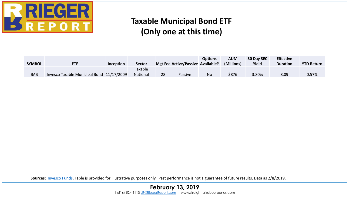

#### **Taxable Municipal Bond ETF (Only one at this time)**

| <b>SYMBOL</b> | <b>ETF</b>                                | Inception | <b>Sector</b>       |    | Mgt Fee Active/Passive Available? | <b>Options</b> | AUM<br>(Millions) | 30 Day SEC<br>Yield | <b>Effective</b><br><b>Duration</b> | <b>YTD Return</b> |
|---------------|-------------------------------------------|-----------|---------------------|----|-----------------------------------|----------------|-------------------|---------------------|-------------------------------------|-------------------|
| <b>BAB</b>    | Invesco Taxable Municipal Bond 11/17/2009 |           | Taxable<br>National | 28 | Passive                           | No             | \$876             | 3.80%               | 8.09                                | 0.57%             |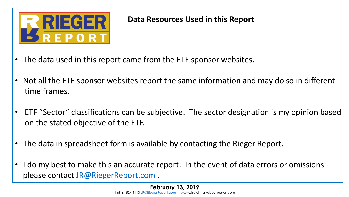

#### **Data Resources Used in this Report**

- The data used in this report came from the ETF sponsor websites.
- Not all the ETF sponsor websites report the same information and may do so in different time frames.
- ETF "Sector" classifications can be subjective. The sector designation is my opinion based on the stated objective of the ETF.
- The data in spreadsheet form is available by contacting the Rieger Report.
- I do my best to make this an accurate report. In the event of data errors or omissions please contact [JR@RiegerReport.com](mailto:JR@RiegerReport.com).